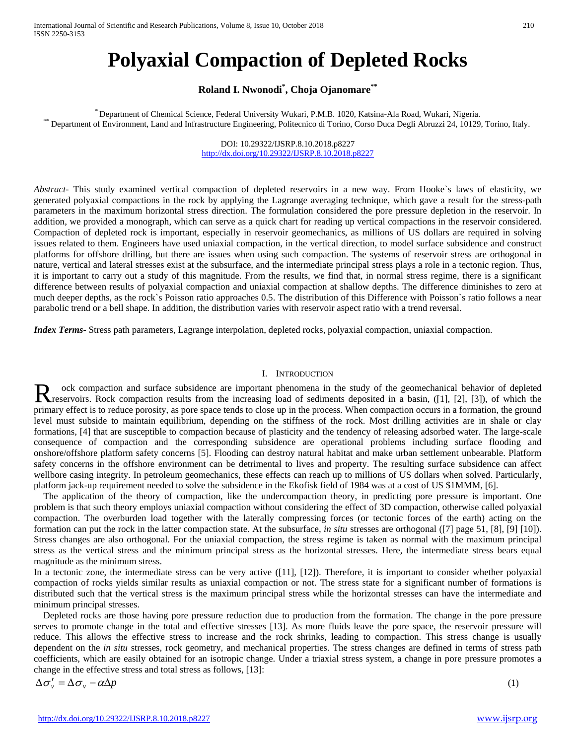# **Polyaxial Compaction of Depleted Rocks**

## **Roland I. Nwonodi\* , Choja Ojanomare\*\***

\* Department of Chemical Science, Federal University Wukari, P.M.B. 1020, Katsina-Ala Road, Wukari, Nigeria.<br>\* Department of Environment, Land and Infrastructure Engineering, Politecnico di Torino, Corso Duca Degli Abruzzi

DOI: 10.29322/IJSRP.8.10.2018.p8227 <http://dx.doi.org/10.29322/IJSRP.8.10.2018.p8227>

*Abstract*- This study examined vertical compaction of depleted reservoirs in a new way. From Hooke`s laws of elasticity, we generated polyaxial compactions in the rock by applying the Lagrange averaging technique, which gave a result for the stress-path parameters in the maximum horizontal stress direction. The formulation considered the pore pressure depletion in the reservoir. In addition, we provided a monograph, which can serve as a quick chart for reading up vertical compactions in the reservoir considered. Compaction of depleted rock is important, especially in reservoir geomechanics, as millions of US dollars are required in solving issues related to them. Engineers have used uniaxial compaction, in the vertical direction, to model surface subsidence and construct platforms for offshore drilling, but there are issues when using such compaction. The systems of reservoir stress are orthogonal in nature, vertical and lateral stresses exist at the subsurface, and the intermediate principal stress plays a role in a tectonic region. Thus, it is important to carry out a study of this magnitude. From the results, we find that, in normal stress regime, there is a significant difference between results of polyaxial compaction and uniaxial compaction at shallow depths. The difference diminishes to zero at much deeper depths, as the rock`s Poisson ratio approaches 0.5. The distribution of this Difference with Poisson`s ratio follows a near parabolic trend or a bell shape. In addition, the distribution varies with reservoir aspect ratio with a trend reversal.

*Index Terms*- Stress path parameters, Lagrange interpolation, depleted rocks, polyaxial compaction, uniaxial compaction.

## I. INTRODUCTION

ock compaction and surface subsidence are important phenomena in the study of the geomechanical behavior of depleted R ock compaction and surface subsidence are important phenomena in the study of the geomechanical behavior of depleted<br>R reservoirs. Rock compaction results from the increasing load of sediments deposited in a basin, ([1], primary effect is to reduce porosity, as pore space tends to close up in the process. When compaction occurs in a formation, the ground level must subside to maintain equilibrium, depending on the stiffness of the rock. Most drilling activities are in shale or clay formations, [4] that are susceptible to compaction because of plasticity and the tendency of releasing adsorbed water. The large-scale consequence of compaction and the corresponding subsidence are operational problems including surface flooding and onshore/offshore platform safety concerns [5]. Flooding can destroy natural habitat and make urban settlement unbearable. Platform safety concerns in the offshore environment can be detrimental to lives and property. The resulting surface subsidence can affect wellbore casing integrity. In petroleum geomechanics, these effects can reach up to millions of US dollars when solved. Particularly, platform jack-up requirement needed to solve the subsidence in the Ekofisk field of 1984 was at a cost of US \$1MMM, [6].

The application of the theory of compaction, like the undercompaction theory, in predicting pore pressure is important. One problem is that such theory employs uniaxial compaction without considering the effect of 3D compaction, otherwise called polyaxial compaction. The overburden load together with the laterally compressing forces (or tectonic forces of the earth) acting on the formation can put the rock in the latter compaction state. At the subsurface, *in situ* stresses are orthogonal ([7] page 51, [8], [9] [10]). Stress changes are also orthogonal. For the uniaxial compaction, the stress regime is taken as normal with the maximum principal stress as the vertical stress and the minimum principal stress as the horizontal stresses. Here, the intermediate stress bears equal magnitude as the minimum stress.

In a tectonic zone, the intermediate stress can be very active ([11], [12]). Therefore, it is important to consider whether polyaxial compaction of rocks yields similar results as uniaxial compaction or not. The stress state for a significant number of formations is distributed such that the vertical stress is the maximum principal stress while the horizontal stresses can have the intermediate and minimum principal stresses.

Depleted rocks are those having pore pressure reduction due to production from the formation. The change in the pore pressure serves to promote change in the total and effective stresses [13]. As more fluids leave the pore space, the reservoir pressure will reduce. This allows the effective stress to increase and the rock shrinks, leading to compaction. This stress change is usually dependent on the *in situ* stresses, rock geometry, and mechanical properties. The stress changes are defined in terms of stress path coefficients, which are easily obtained for an isotropic change. Under a triaxial stress system, a change in pore pressure promotes a change in the effective stress and total stress as follows, [13]:

$$
\Delta \sigma'_{v} = \Delta \sigma_{v} - \alpha \Delta p \tag{1}
$$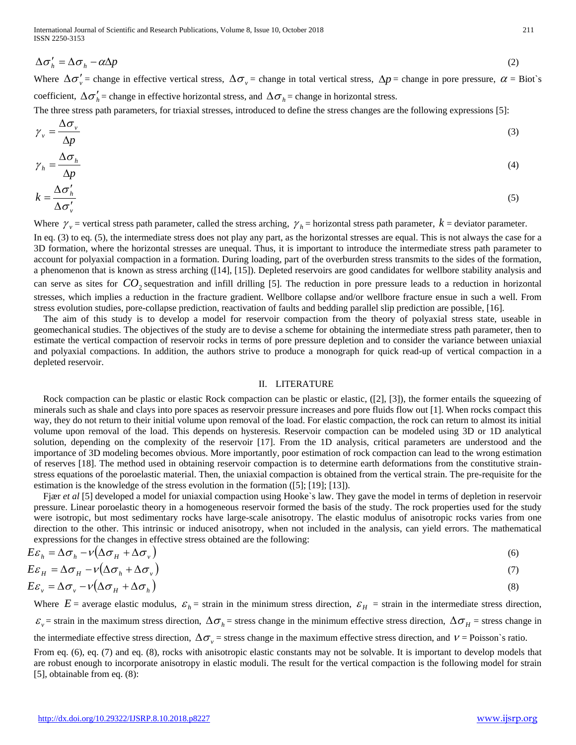$$
\Delta \sigma'_h = \Delta \sigma_h - \alpha \Delta p \tag{2}
$$

Where  $\Delta \sigma'_v$  = change in effective vertical stress,  $\Delta \sigma_v$  = change in total vertical stress,  $\Delta p$  = change in pore pressure,  $\alpha$  = Biot`s coefficient,  $\Delta \sigma'_{h}$  = change in effective horizontal stress, and  $\Delta \sigma_{h}$  = change in horizontal stress.

The three stress path parameters, for triaxial stresses, introduced to define the stress changes are the following expressions [5]:

$$
\gamma_{\nu} = \frac{\Delta \sigma_{\nu}}{\Delta p} \tag{3}
$$

$$
\gamma_h = \frac{\Delta \sigma_h}{\Delta p}
$$
\n
$$
k = \frac{\Delta \sigma_h'}{p} \tag{4}
$$

$$
k = \frac{\Delta \sigma_h}{\Delta \sigma_v'}
$$
 (5)

Where  $\gamma_v$  = vertical stress path parameter, called the stress arching,  $\gamma_h$  = horizontal stress path parameter,  $k$  = deviator parameter.

In eq. (3) to eq. (5), the intermediate stress does not play any part, as the horizontal stresses are equal. This is not always the case for a 3D formation, where the horizontal stresses are unequal. Thus, it is important to introduce the intermediate stress path parameter to account for polyaxial compaction in a formation. During loading, part of the overburden stress transmits to the sides of the formation, a phenomenon that is known as stress arching ([14], [15]). Depleted reservoirs are good candidates for wellbore stability analysis and can serve as sites for  $CO_2$  sequestration and infill drilling [5]. The reduction in pore pressure leads to a reduction in horizontal stresses, which implies a reduction in the fracture gradient. Wellbore collapse and/or wellbore fracture ensue in such a well. From stress evolution studies, pore-collapse prediction, reactivation of faults and bedding parallel slip prediction are possible, [16].

The aim of this study is to develop a model for reservoir compaction from the theory of polyaxial stress state, useable in geomechanical studies. The objectives of the study are to devise a scheme for obtaining the intermediate stress path parameter, then to estimate the vertical compaction of reservoir rocks in terms of pore pressure depletion and to consider the variance between uniaxial and polyaxial compactions. In addition, the authors strive to produce a monograph for quick read-up of vertical compaction in a depleted reservoir.

#### II. LITERATURE

Rock compaction can be plastic or elastic Rock compaction can be plastic or elastic, ([2], [3]), the former entails the squeezing of minerals such as shale and clays into pore spaces as reservoir pressure increases and pore fluids flow out [1]. When rocks compact this way, they do not return to their initial volume upon removal of the load. For elastic compaction, the rock can return to almost its initial volume upon removal of the load. This depends on hysteresis. Reservoir compaction can be modeled using 3D or 1D analytical solution, depending on the complexity of the reservoir [17]. From the 1D analysis, critical parameters are understood and the importance of 3D modeling becomes obvious. More importantly, poor estimation of rock compaction can lead to the wrong estimation of reserves [18]. The method used in obtaining reservoir compaction is to determine earth deformations from the constitutive strainstress equations of the poroelastic material. Then, the uniaxial compaction is obtained from the vertical strain. The pre-requisite for the estimation is the knowledge of the stress evolution in the formation ([5]; [19]; [13]).

Fjær *et al* [5] developed a model for uniaxial compaction using Hooke's law. They gave the model in terms of depletion in reservoir pressure. Linear poroelastic theory in a homogeneous reservoir formed the basis of the study. The rock properties used for the study were isotropic, but most sedimentary rocks have large-scale anisotropy. The elastic modulus of anisotropic rocks varies from one direction to the other. This intrinsic or induced anisotropy, when not included in the analysis, can yield errors. The mathematical expressions for the changes in effective stress obtained are the following:

$$
E\varepsilon_h = \Delta \sigma_h - \nu \left(\Delta \sigma_H + \Delta \sigma_v\right) \tag{6}
$$

$$
E\varepsilon_{H} = \Delta \sigma_{H} - \nu (\Delta \sigma_{h} + \Delta \sigma_{v})
$$
  
\n
$$
E\varepsilon_{v} = \Delta \sigma_{v} - \nu (\Delta \sigma_{H} + \Delta \sigma_{h})
$$
\n(3)

Where  $E$  = average elastic modulus,  $\varepsilon_h$  = strain in the minimum stress direction,  $\varepsilon_H$  = strain in the intermediate stress direction,  $\varepsilon$ <sub>*v*</sub> = strain in the maximum stress direction,  $\Delta \sigma$ <sub>*h*</sub> = stress change in the minimum effective stress direction,  $\Delta \sigma$ <sub>*H*</sub> = stress change in the intermediate effective stress direction,  $\Delta \sigma_y$  = stress change in the maximum effective stress direction, and  $v =$  Poisson`s ratio. From eq. (6), eq. (7) and eq. (8), rocks with anisotropic elastic constants may not be solvable. It is important to develop models that are robust enough to incorporate anisotropy in elastic moduli. The result for the vertical compaction is the following model for strain [5], obtainable from eq. (8):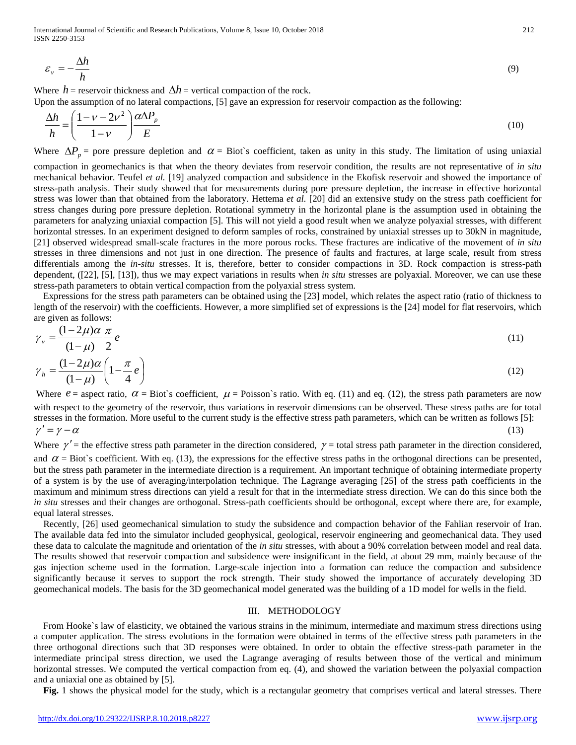International Journal of Scientific and Research Publications, Volume 8, Issue 10, October 2018 212 ISSN 2250-3153

$$
\varepsilon_{\nu} = -\frac{\Delta h}{h} \tag{9}
$$

Where *h* = reservoir thickness and  $\Delta h$  = vertical compaction of the rock.

Upon the assumption of no lateral compactions, [5] gave an expression for reservoir compaction as the following:

$$
\frac{\Delta h}{h} = \left(\frac{1 - \nu - 2\nu^2}{1 - \nu}\right) \frac{\alpha \Delta P_p}{E}
$$
\n(10)

Where  $\Delta P_p$  = pore pressure depletion and  $\alpha$  = Biot`s coefficient, taken as unity in this study. The limitation of using uniaxial

compaction in geomechanics is that when the theory deviates from reservoir condition, the results are not representative of *in situ* mechanical behavior. Teufel *et al.* [19] analyzed compaction and subsidence in the Ekofisk reservoir and showed the importance of stress-path analysis. Their study showed that for measurements during pore pressure depletion, the increase in effective horizontal stress was lower than that obtained from the laboratory. Hettema *et al.* [20] did an extensive study on the stress path coefficient for stress changes during pore pressure depletion. Rotational symmetry in the horizontal plane is the assumption used in obtaining the parameters for analyzing uniaxial compaction [5]. This will not yield a good result when we analyze polyaxial stresses, with different horizontal stresses. In an experiment designed to deform samples of rocks, constrained by uniaxial stresses up to 30kN in magnitude, [21] observed widespread small-scale fractures in the more porous rocks. These fractures are indicative of the movement of *in situ* stresses in three dimensions and not just in one direction. The presence of faults and fractures, at large scale, result from stress differentials among the *in-situ* stresses. It is, therefore, better to consider compactions in 3D. Rock compaction is stress-path dependent, ([22], [5], [13]), thus we may expect variations in results when *in situ* stresses are polyaxial. Moreover, we can use these stress-path parameters to obtain vertical compaction from the polyaxial stress system.

Expressions for the stress path parameters can be obtained using the [23] model, which relates the aspect ratio (ratio of thickness to length of the reservoir) with the coefficients. However, a more simplified set of expressions is the [24] model for flat reservoirs, which are given as follows:

$$
\gamma_{\nu} = \frac{(1 - 2\mu)\alpha}{(1 - \mu)} \frac{\pi}{2} e \tag{11}
$$

$$
\gamma_h = \frac{(1 - 2\mu)\alpha}{(1 - \mu)} \left(1 - \frac{\pi}{4}e\right)
$$
\n(12)

Where  $e =$  aspect ratio,  $\alpha =$  Biot's coefficient,  $\mu =$  Poisson's ratio. With eq. (11) and eq. (12), the stress path parameters are now with respect to the geometry of the reservoir, thus variations in reservoir dimensions can be observed. These stress paths are for total stresses in the formation. More useful to the current study is the effective stress path parameters, which can be written as follows [5]:  $\gamma' = \gamma - \alpha$  (13)

Where  $\gamma'$  = the effective stress path parameter in the direction considered,  $\gamma$  = total stress path parameter in the direction considered, and  $\alpha$  = Biot's coefficient. With eq. (13), the expressions for the effective stress paths in the orthogonal directions can be presented, but the stress path parameter in the intermediate direction is a requirement. An important technique of obtaining intermediate property of a system is by the use of averaging/interpolation technique. The Lagrange averaging [25] of the stress path coefficients in the maximum and minimum stress directions can yield a result for that in the intermediate stress direction. We can do this since both the *in situ* stresses and their changes are orthogonal. Stress-path coefficients should be orthogonal, except where there are, for example, equal lateral stresses.

Recently, [26] used geomechanical simulation to study the subsidence and compaction behavior of the Fahlian reservoir of Iran. The available data fed into the simulator included geophysical, geological, reservoir engineering and geomechanical data. They used these data to calculate the magnitude and orientation of the *in situ* stresses, with about a 90% correlation between model and real data. The results showed that reservoir compaction and subsidence were insignificant in the field, at about 29 mm, mainly because of the gas injection scheme used in the formation. Large-scale injection into a formation can reduce the compaction and subsidence significantly because it serves to support the rock strength. Their study showed the importance of accurately developing 3D geomechanical models. The basis for the 3D geomechanical model generated was the building of a 1D model for wells in the field.

## III. METHODOLOGY

From Hooke`s law of elasticity, we obtained the various strains in the minimum, intermediate and maximum stress directions using a computer application. The stress evolutions in the formation were obtained in terms of the effective stress path parameters in the three orthogonal directions such that 3D responses were obtained. In order to obtain the effective stress-path parameter in the intermediate principal stress direction, we used the Lagrange averaging of results between those of the vertical and minimum horizontal stresses. We computed the vertical compaction from eq. (4), and showed the variation between the polyaxial compaction and a uniaxial one as obtained by [5].

**Fig.** 1 shows the physical model for the study, which is a rectangular geometry that comprises vertical and lateral stresses. There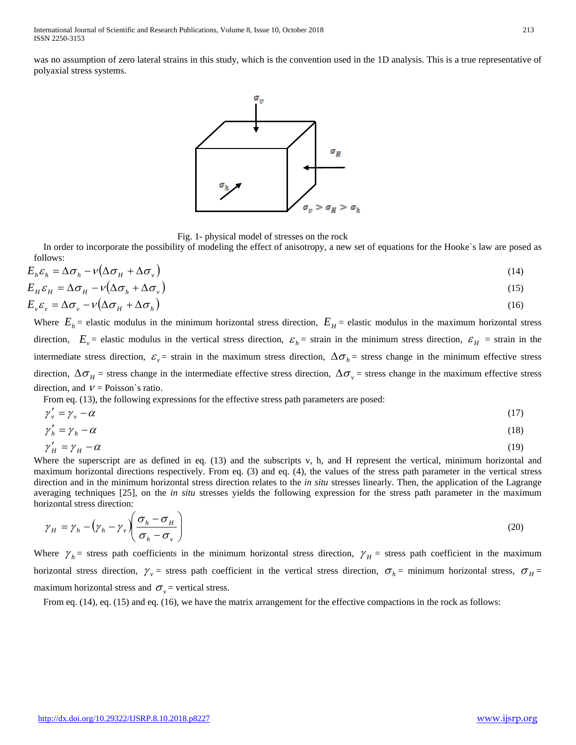was no assumption of zero lateral strains in this study, which is the convention used in the 1D analysis. This is a true representative of polyaxial stress systems.



Fig. 1- physical model of stresses on the rock

In order to incorporate the possibility of modeling the effect of anisotropy, a new set of equations for the Hooke`s law are posed as follows:

$$
E_h \varepsilon_h = \Delta \sigma_h - \nu \left( \Delta \sigma_H + \Delta \sigma_v \right) \tag{14}
$$
\n
$$
E_H \varepsilon_H = \Delta \sigma_H - \nu \left( \Delta \sigma_h + \Delta \sigma_v \right) \tag{15}
$$

$$
E_{\nu} \varepsilon_{\nu} = \Delta \sigma_{\nu} - \nu (\Delta \sigma_{H} + \Delta \sigma_{h}) \tag{16}
$$

Where  $E_h$  = elastic modulus in the minimum horizontal stress direction,  $E_H$  = elastic modulus in the maximum horizontal stress direction,  $E_y$  = elastic modulus in the vertical stress direction,  $\varepsilon_h$  = strain in the minimum stress direction,  $\varepsilon_H$  = strain in the intermediate stress direction,  $\varepsilon$ <sub>v</sub> = strain in the maximum stress direction,  $\Delta \sigma$ <sub>h</sub> = stress change in the minimum effective stress direction,  $\Delta \sigma_H$  = stress change in the intermediate effective stress direction,  $\Delta \sigma_y$  = stress change in the maximum effective stress direction, and  $V = \text{Poisson's ratio.}$ 

From eq. (13), the following expressions for the effective stress path parameters are posed:

$$
\gamma_v' = \gamma_v - \alpha \tag{17}
$$
\n
$$
\gamma_v' = \gamma_v - \alpha \tag{18}
$$

$$
\gamma'_h = \gamma_h - \alpha \tag{18}
$$

$$
\gamma_H' = \gamma_H - \alpha \tag{19}
$$

Where the superscript are as defined in eq. (13) and the subscripts v, h, and H represent the vertical, minimum horizontal and maximum horizontal directions respectively. From eq. (3) and eq. (4), the values of the stress path parameter in the vertical stress direction and in the minimum horizontal stress direction relates to the *in situ* stresses linearly. Then, the application of the Lagrange averaging techniques [25], on the *in situ* stresses yields the following expression for the stress path parameter in the maximum horizontal stress direction:

$$
\gamma_H = \gamma_h - (\gamma_h - \gamma_v) \left( \frac{\sigma_h - \sigma_H}{\sigma_h - \sigma_v} \right) \tag{20}
$$

Where  $\gamma_h$  = stress path coefficients in the minimum horizontal stress direction,  $\gamma_H$  = stress path coefficient in the maximum horizontal stress direction,  $\gamma_v$  = stress path coefficient in the vertical stress direction,  $\sigma_h$  = minimum horizontal stress,  $\sigma_H$  = maximum horizontal stress and  $\sigma_v$  = vertical stress.

From eq. (14), eq. (15) and eq. (16), we have the matrix arrangement for the effective compactions in the rock as follows: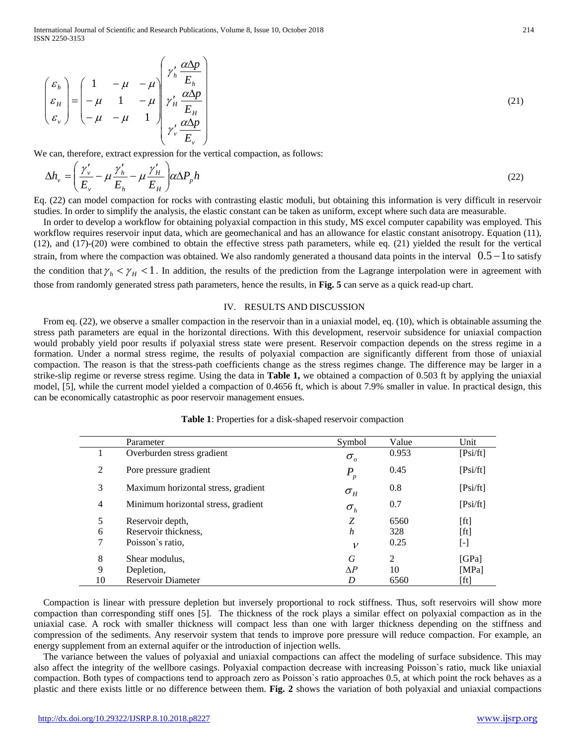International Journal of Scientific and Research Publications, Volume 8, Issue 10, October 2018 214 ISSN 2250-3153

$$
\begin{pmatrix} \varepsilon_h \\ \varepsilon_H \\ \varepsilon_v \end{pmatrix} = \begin{pmatrix} 1 & -\mu & -\mu \\ -\mu & 1 & -\mu \\ -\mu & -\mu & 1 \end{pmatrix} \begin{pmatrix} \gamma'_h \frac{\alpha \Delta p}{E_h} \\ \gamma'_H \frac{\alpha \Delta p}{E_H} \\ \gamma'_v \frac{\alpha \Delta p}{E_v} \end{pmatrix}
$$
(21)

We can, therefore, extract expression for the vertical compaction, as follows:

$$
\Delta h_{\nu} = \left(\frac{\gamma_{\nu}'}{E_{\nu}} - \mu \frac{\gamma_{h}'}{E_{h}} - \mu \frac{\gamma_{H}'}{E_{H}}\right) \alpha \Delta P_{p} h
$$
\n(22)

Eq. (22) can model compaction for rocks with contrasting elastic moduli, but obtaining this information is very difficult in reservoir studies. In order to simplify the analysis, the elastic constant can be taken as uniform, except where such data are measurable.

In order to develop a workflow for obtaining polyaxial compaction in this study, MS excel computer capability was employed. This workflow requires reservoir input data, which are geomechanical and has an allowance for elastic constant anisotropy. Equation (11), (12), and (17)-(20) were combined to obtain the effective stress path parameters, while eq. (21) yielded the result for the vertical strain, from where the compaction was obtained. We also randomly generated a thousand data points in the interval  $0.5 - 1$  to satisfy the condition that  $\gamma_h < \gamma_H < 1$ . In addition, the results of the prediction from the Lagrange interpolation were in agreement with those from randomly generated stress path parameters, hence the results, in **Fig. 5** can serve as a quick read-up chart.

## IV. RESULTS AND DISCUSSION

From eq. (22), we observe a smaller compaction in the reservoir than in a uniaxial model, eq. (10), which is obtainable assuming the stress path parameters are equal in the horizontal directions. With this development, reservoir subsidence for uniaxial compaction would probably yield poor results if polyaxial stress state were present. Reservoir compaction depends on the stress regime in a formation. Under a normal stress regime, the results of polyaxial compaction are significantly different from those of uniaxial compaction. The reason is that the stress-path coefficients change as the stress regimes change. The difference may be larger in a strike-slip regime or reverse stress regime. Using the data in **Table 1,** we obtained a compaction of 0.503 ft by applying the uniaxial model, [5], while the current model yielded a compaction of 0.4656 ft, which is about 7.9% smaller in value. In practical design, this can be economically catastrophic as poor reservoir management ensues.

|    | Parameter                           | Symbol        | Value | Unit      |
|----|-------------------------------------|---------------|-------|-----------|
|    | Overburden stress gradient          | $\sigma_{_o}$ | 0.953 | [Psi]     |
| 2  | Pore pressure gradient              | $P_p$         | 0.45  | [Psi]     |
| 3  | Maximum horizontal stress, gradient | $\sigma_{_H}$ | 0.8   | [Psi]     |
| 4  | Minimum horizontal stress, gradient | $\sigma_{h}$  | 0.7   | [Psi]     |
| 5  | Reservoir depth,                    | Z             | 6560  | [ft]      |
| 6  | Reservoir thickness,                | h             | 328   | [ft]      |
| 7  | Poisson's ratio.                    | $\mathcal V$  | 0.25  | $[\cdot]$ |
| 8  | Shear modulus,                      | G             | 2     | [GPa]     |
| 9  | Depletion,                          | ΛP            | 10    | [MPa]     |
| 10 | <b>Reservoir Diameter</b>           | D             | 6560  | [ft]      |

Compaction is linear with pressure depletion but inversely proportional to rock stiffness. Thus, soft reservoirs will show more compaction than corresponding stiff ones [5]. The thickness of the rock plays a similar effect on polyaxial compaction as in the uniaxial case. A rock with smaller thickness will compact less than one with larger thickness depending on the stiffness and compression of the sediments. Any reservoir system that tends to improve pore pressure will reduce compaction. For example, an energy supplement from an external aquifer or the introduction of injection wells.

The variance between the values of polyaxial and uniaxial compactions can affect the modeling of surface subsidence. This may also affect the integrity of the wellbore casings. Polyaxial compaction decrease with increasing Poisson`s ratio, muck like uniaxial compaction. Both types of compactions tend to approach zero as Poisson`s ratio approaches 0.5, at which point the rock behaves as a plastic and there exists little or no difference between them. **Fig. 2** shows the variation of both polyaxial and uniaxial compactions

<http://dx.doi.org/10.29322/IJSRP.8.10.2018.p8227> [www.ijsrp.org](http://ijsrp.org/)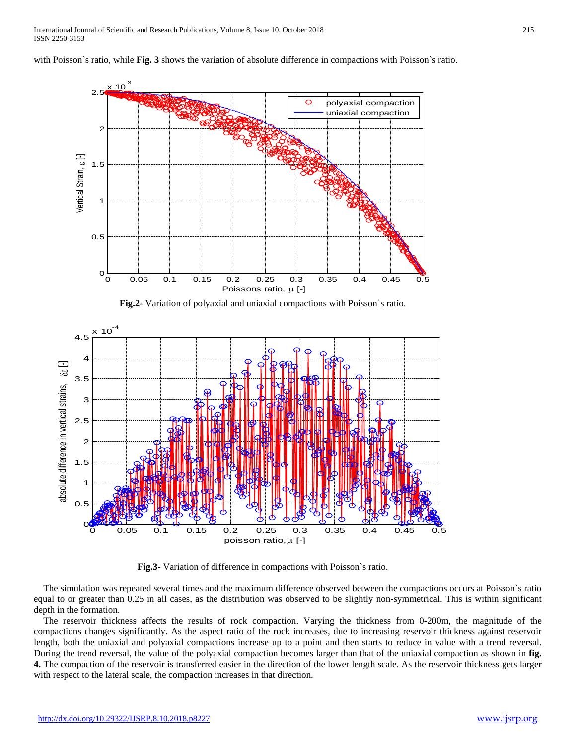with Poisson's ratio, while **Fig. 3** shows the variation of absolute difference in compactions with Poisson's ratio.



**Fig.2**- Variation of polyaxial and uniaxial compactions with Poisson`s ratio.



**Fig.3**- Variation of difference in compactions with Poisson`s ratio.

The simulation was repeated several times and the maximum difference observed between the compactions occurs at Poisson`s ratio equal to or greater than 0.25 in all cases, as the distribution was observed to be slightly non-symmetrical. This is within significant depth in the formation.

The reservoir thickness affects the results of rock compaction. Varying the thickness from 0-200m, the magnitude of the compactions changes significantly. As the aspect ratio of the rock increases, due to increasing reservoir thickness against reservoir length, both the uniaxial and polyaxial compactions increase up to a point and then starts to reduce in value with a trend reversal. During the trend reversal, the value of the polyaxial compaction becomes larger than that of the uniaxial compaction as shown in **fig. 4.** The compaction of the reservoir is transferred easier in the direction of the lower length scale. As the reservoir thickness gets larger with respect to the lateral scale, the compaction increases in that direction.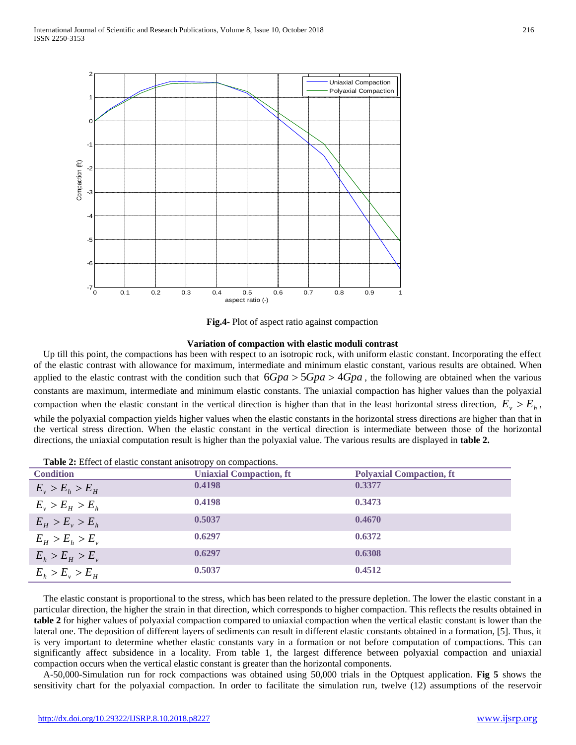

**Fig.4-** Plot of aspect ratio against compaction

#### **Variation of compaction with elastic moduli contrast**

Up till this point, the compactions has been with respect to an isotropic rock, with uniform elastic constant. Incorporating the effect of the elastic contrast with allowance for maximum, intermediate and minimum elastic constant, various results are obtained. When applied to the elastic contrast with the condition such that 6*Gpa* > 5*Gpa* > 4*Gpa* , the following are obtained when the various constants are maximum, intermediate and minimum elastic constants. The uniaxial compaction has higher values than the polyaxial compaction when the elastic constant in the vertical direction is higher than that in the least horizontal stress direction,  $E_v > E_h$ , while the polyaxial compaction yields higher values when the elastic constants in the horizontal stress directions are higher than that in the vertical stress direction. When the elastic constant in the vertical direction is intermediate between those of the horizontal directions, the uniaxial computation result is higher than the polyaxial value. The various results are displayed in **table 2.**

| <b>Condition</b>        | <b>Uniaxial Compaction, ft</b> | <b>Polyaxial Compaction, ft</b> |
|-------------------------|--------------------------------|---------------------------------|
| $E_v > E_h > E_H$       | 0.4198                         | 0.3377                          |
| $E_v > E_H > E_h$       | 0.4198                         | 0.3473                          |
| $E_{H} > E_{v} > E_{h}$ | 0.5037                         | 0.4670                          |
| $E_{H} > E_{h} > E_{v}$ | 0.6297                         | 0.6372                          |
| $E_h > E_H > E_v$       | 0.6297                         | 0.6308                          |
| $E_{h} > E_{v} > E_{H}$ | 0.5037                         | 0.4512                          |

**Table 2:** Effect of elastic constant anisotropy on compactions.

The elastic constant is proportional to the stress, which has been related to the pressure depletion. The lower the elastic constant in a particular direction, the higher the strain in that direction, which corresponds to higher compaction. This reflects the results obtained in **table 2** for higher values of polyaxial compaction compared to uniaxial compaction when the vertical elastic constant is lower than the lateral one. The deposition of different layers of sediments can result in different elastic constants obtained in a formation, [5]. Thus, it is very important to determine whether elastic constants vary in a formation or not before computation of compactions. This can significantly affect subsidence in a locality. From table 1, the largest difference between polyaxial compaction and uniaxial compaction occurs when the vertical elastic constant is greater than the horizontal components.

A-50,000-Simulation run for rock compactions was obtained using 50,000 trials in the Optquest application. **Fig 5** shows the sensitivity chart for the polyaxial compaction. In order to facilitate the simulation run, twelve (12) assumptions of the reservoir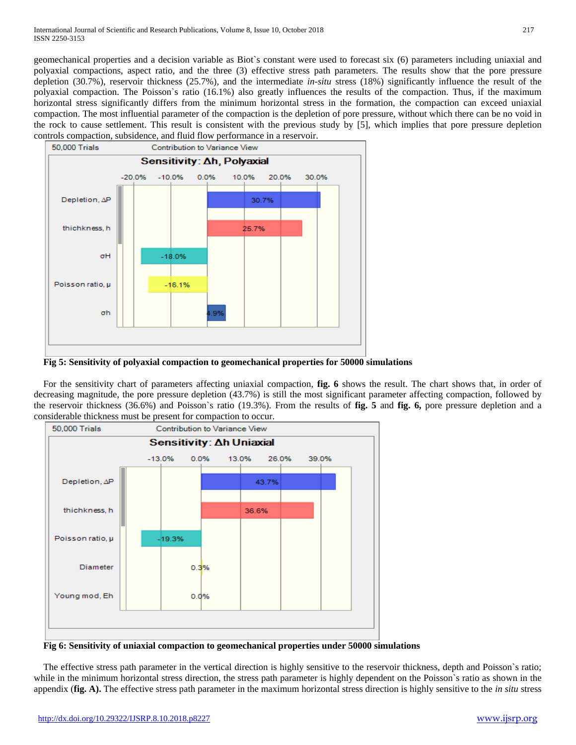geomechanical properties and a decision variable as Biot`s constant were used to forecast six (6) parameters including uniaxial and polyaxial compactions, aspect ratio, and the three (3) effective stress path parameters. The results show that the pore pressure depletion (30.7%), reservoir thickness (25.7%), and the intermediate *in-situ* stress (18%) significantly influence the result of the polyaxial compaction. The Poisson`s ratio (16.1%) also greatly influences the results of the compaction. Thus, if the maximum horizontal stress significantly differs from the minimum horizontal stress in the formation, the compaction can exceed uniaxial compaction. The most influential parameter of the compaction is the depletion of pore pressure, without which there can be no void in the rock to cause settlement. This result is consistent with the previous study by [5], which implies that pore pressure depletion controls compaction, subsidence, and fluid flow performance in a reservoir.



**Fig 5: Sensitivity of polyaxial compaction to geomechanical properties for 50000 simulations**

For the sensitivity chart of parameters affecting uniaxial compaction, **fig. 6** shows the result. The chart shows that, in order of decreasing magnitude, the pore pressure depletion (43.7%) is still the most significant parameter affecting compaction, followed by the reservoir thickness (36.6%) and Poisson`s ratio (19.3%). From the results of **fig. 5** and **fig. 6,** pore pressure depletion and a considerable thickness must be present for compaction to occur.



**Fig 6: Sensitivity of uniaxial compaction to geomechanical properties under 50000 simulations**

The effective stress path parameter in the vertical direction is highly sensitive to the reservoir thickness, depth and Poisson`s ratio; while in the minimum horizontal stress direction, the stress path parameter is highly dependent on the Poisson's ratio as shown in the appendix (**fig. A).** The effective stress path parameter in the maximum horizontal stress direction is highly sensitive to the *in situ* stress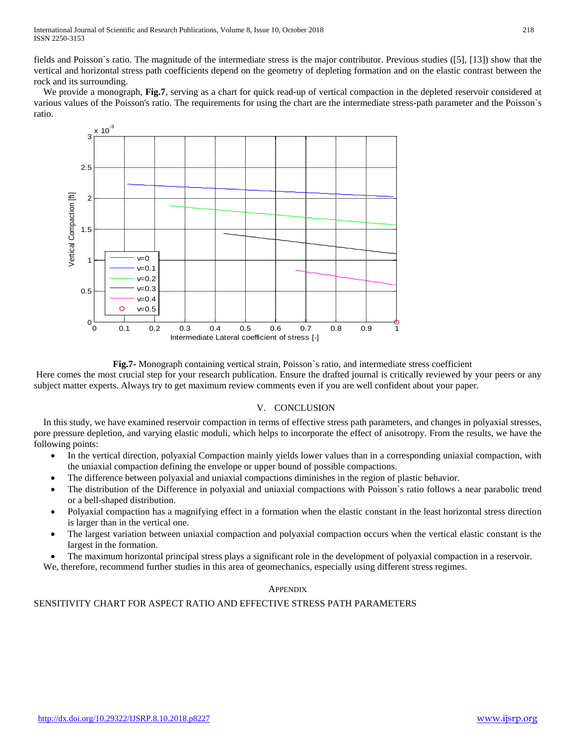fields and Poisson`s ratio. The magnitude of the intermediate stress is the major contributor. Previous studies ([5], [13]) show that the vertical and horizontal stress path coefficients depend on the geometry of depleting formation and on the elastic contrast between the rock and its surrounding.

We provide a monograph, **Fig.7**, serving as a chart for quick read-up of vertical compaction in the depleted reservoir considered at various values of the Poisson's ratio. The requirements for using the chart are the intermediate stress-path parameter and the Poisson`s ratio.



**Fig.7-** Monograph containing vertical strain, Poisson`s ratio, and intermediate stress coefficient

Here comes the most crucial step for your research publication. Ensure the drafted journal is critically reviewed by your peers or any subject matter experts. Always try to get maximum review comments even if you are well confident about your paper.

## V. CONCLUSION

In this study, we have examined reservoir compaction in terms of effective stress path parameters, and changes in polyaxial stresses, pore pressure depletion, and varying elastic moduli, which helps to incorporate the effect of anisotropy. From the results, we have the following points:

- In the vertical direction, polyaxial Compaction mainly yields lower values than in a corresponding uniaxial compaction, with the uniaxial compaction defining the envelope or upper bound of possible compactions.
- The difference between polyaxial and uniaxial compactions diminishes in the region of plastic behavior.
- The distribution of the Difference in polyaxial and uniaxial compactions with Poisson`s ratio follows a near parabolic trend or a bell-shaped distribution.
- Polyaxial compaction has a magnifying effect in a formation when the elastic constant in the least horizontal stress direction is larger than in the vertical one.
- The largest variation between uniaxial compaction and polyaxial compaction occurs when the vertical elastic constant is the largest in the formation.
- The maximum horizontal principal stress plays a significant role in the development of polyaxial compaction in a reservoir.

We, therefore, recommend further studies in this area of geomechanics, especially using different stress regimes.

## **APPENDIX**

## SENSITIVITY CHART FOR ASPECT RATIO AND EFFECTIVE STRESS PATH PARAMETERS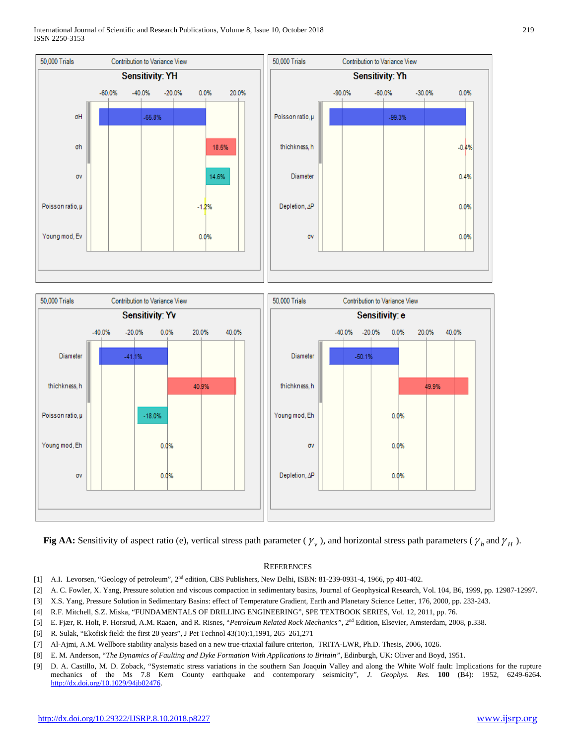International Journal of Scientific and Research Publications, Volume 8, Issue 10, October 2018 219 ISSN 2250-3153





**Fig AA:** Sensitivity of aspect ratio (e), vertical stress path parameter ( $\gamma_v$ ), and horizontal stress path parameters ( $\gamma_h$  and  $\gamma_H$ ).

#### **REFERENCES**

- [1] A.I. Levorsen, "Geology of petroleum", 2nd edition, CBS Publishers, New Delhi, ISBN: 81-239-0931-4, 1966, pp 401-402.
- [2] A. C. Fowler, X. Yang, Pressure solution and viscous compaction in sedimentary basins, Journal of Geophysical Research, Vol. 104, B6, 1999, pp. 12987-12997.
- [3] X.S. Yang, Pressure Solution in Sedimentary Basins: effect of Temperature Gradient, Earth and Planetary Science Letter, 176, 2000, pp. 233-243.
- [4] R.F. Mitchell, S.Z. Miska, "FUNDAMENTALS OF DRILLING ENGINEERING", SPE TEXTBOOK SERIES, Vol. 12, 2011, pp. 76.
- [5] E. Fjær, R. Holt, P. Horsrud, A.M. Raaen, and R. Risnes, "*Petroleum Related Rock Mechanics"*, 2nd Edition, Elsevier, Amsterdam, 2008, p.338.
- [6] R. Sulak, "Ekofisk field: the first 20 years", J Pet Technol 43(10):1,1991, 265–261,271
- [7] Al-Ajmi, A.M. Wellbore stability analysis based on a new true-triaxial failure criterion, TRITA-LWR, Ph.D. Thesis, 2006, 1026.
- [8] E. M. Anderson, "*The Dynamics of Faulting and Dyke Formation With Applications to Britain",* Edinburgh, UK: Oliver and Boyd, 1951.
- [9] D. A. Castillo, M. D. Zoback, "Systematic stress variations in the southern San Joaquin Valley and along the White Wolf fault: Implications for the rupture mechanics of the Ms 7.8 Kern County earthquake and contemporary seismicity", *J. Geophys. Res.* **100** (B4): 1952, 6249-6264. [http://dx.doi.org/10.1029/94jb02476.](http://dx.doi.org/10.1029/94jb02476)